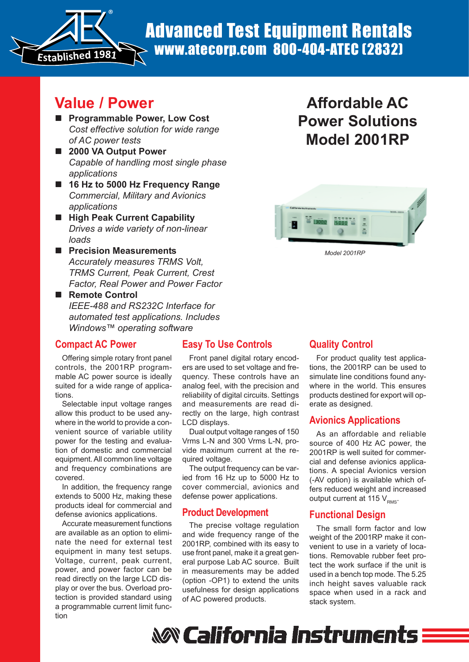

# Advanced Test Equipment Rentals www.atecorp.com 800-404-ATEC (2832)

# **Value / Power**

- **Programmable Power, Low Cost** *Cost effective solution for wide range of AC power tests*
- 2000 VA Output Power *Capable of handling most single phase applications*
- 16 Hz to 5000 Hz Frequency Range *Commercial, Military and Avionics applications*
- **High Peak Current Capability** *Drives a wide variety of non-linear loads*
- **Precision Measurements** *Accurately measures TRMS Volt, TRMS Current, Peak Current, Crest Factor, Real Power and Power Factor*
- Remote Control *IEEE-488 and RS232C Interface for automated test applications. Includes Windows™ operating software*

## **Compact AC Power**

Offering simple rotary front panel controls, the 2001RP programmable AC power source is ideally suited for a wide range of applications.

Selectable input voltage ranges allow this product to be used anywhere in the world to provide a convenient source of variable utility power for the testing and evaluation of domestic and commercial equipment. All common line voltage and frequency combinations are covered.

In addition, the frequency range extends to 5000 Hz, making these products ideal for commercial and defense avionics applications.

Accurate measurement functions are available as an option to eliminate the need for external test equipment in many test setups. Voltage, current, peak current, power, and power factor can be read directly on the large LCD display or over the bus. Overload protection is provided standard using a programmable current limit function

# **Easy To Use Controls**

Front panel digital rotary encoders are used to set voltage and frequency. These controls have an analog feel, with the precision and reliability of digital circuits. Settings and measurements are read directly on the large, high contrast LCD displays.

Dual output voltage ranges of 150 Vrms L-N and 300 Vrms L-N, provide maximum current at the required voltage.

The output frequency can be varied from 16 Hz up to 5000 Hz to cover commercial, avionics and defense power applications.

### **Product Development**

The precise voltage regulation and wide frequency range of the 2001RP, combined with its easy to use front panel, make it a great general purpose Lab AC source. Built in measurements may be added (option -OP1) to extend the units usefulness for design applications of AC powered products.

# **Affordable AC Power Solutions Model 2001RP**



*Model 2001RP*

## **Quality Control**

For product quality test applications, the 2001RP can be used to simulate line conditions found anywhere in the world. This ensures products destined for export will operate as designed.

### **Avionics Applications**

As an affordable and reliable source of 400 Hz AC power, the 2001RP is well suited for commercial and defense avionics applications. A special Avionics version (-AV option) is available which offers reduced weight and increased output current at 115  $V_{RMS}$ .

### **Functional Design**

The small form factor and low weight of the 2001RP make it convenient to use in a variety of locations. Removable rubber feet protect the work surface if the unit is used in a bench top mode. The 5.25 inch height saves valuable rack space when used in a rack and stack system.

**&&&** California Instruments =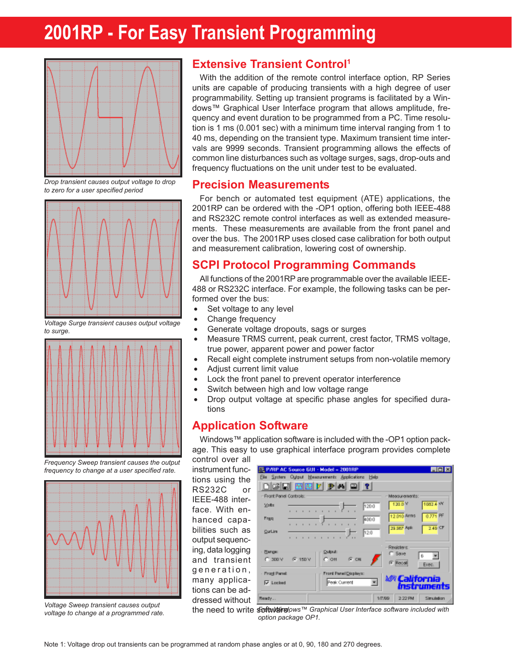# **2001RP - For Easy Transient Programming**



*Drop transient causes output voltage to drop to zero for a user specified period*



*Voltage Surge transient causes output voltage to surge.*



*Frequency Sweep transient causes the output frequency to change at a user specified rate.*



*Voltage Sweep transient causes output voltage to change at a programmed rate.*

# **Extensive Transient Control1**

With the addition of the remote control interface option, RP Series units are capable of producing transients with a high degree of user programmability. Setting up transient programs is facilitated by a Windows™ Graphical User Interface program that allows amplitude, frequency and event duration to be programmed from a PC. Time resolution is 1 ms (0.001 sec) with a minimum time interval ranging from 1 to 40 ms, depending on the transient type. Maximum transient time intervals are 9999 seconds. Transient programming allows the effects of common line disturbances such as voltage surges, sags, drop-outs and frequency fluctuations on the unit under test to be evaluated.

#### **Precision Measurements**

For bench or automated test equipment (ATE) applications, the 2001RP can be ordered with the -OP1 option, offering both IEEE-488 and RS232C remote control interfaces as well as extended measurements. These measurements are available from the front panel and over the bus. The 2001RP uses closed case calibration for both output and measurement calibration, lowering cost of ownership.

# **SCPI Protocol Programming Commands**

All functions of the 2001RP are programmable over the available IEEE-488 or RS232C interface. For example, the following tasks can be performed over the bus:

- Set voltage to any level
- Change frequency
- Generate voltage dropouts, sags or surges
- Measure TRMS current, peak current, crest factor, TRMS voltage, true power, apparent power and power factor
- Recall eight complete instrument setups from non-volatile memory
- Adjust current limit value
- Lock the front panel to prevent operator interference
- Switch between high and low voltage range
- Drop output voltage at specific phase angles for specified durations

# **Application Software**

Windows™ application software is included with the -OP1 option package. This easy to use graphical interface program provides complete

control over all instrument functions using the RS232C or IEEE-488 interface. With enhanced capabilities such as output sequencing, data logging and transient generation, many applications can be addressed without

|                        | PARP AC Source GUI - Model = 2001RP                                      | <b>HOM</b>                      |
|------------------------|--------------------------------------------------------------------------|---------------------------------|
|                        | File System Output Measurements Applications Help<br><b>DGGGGGGYPAQY</b> |                                 |
| -Front Panel Controls: |                                                                          | Measurements:                   |
| Vote                   | 120.0                                                                    | 120 D <sup>V</sup><br>1082.4 NY |
| Frag                   | 400.0                                                                    | 12.010 Arms<br>0.771 PF         |
| OurLim                 | H20                                                                      | 29.567 Aplc<br>$2.49$ CF        |
| - Things:              | <b>Output:</b>                                                           | -Registers:<br><b>C Save</b>    |
| <b>CLISDD V</b>        | $C$ off<br>G. ON<br><b>F. 150 V.</b>                                     | FF Rece<br>Exec.                |
| <b>Fragt Panel</b>     | Front Panel Displays:                                                    | W <b>California</b>             |
| <b>V</b> Locked        | Peak Current                                                             |                                 |
| Reache                 |                                                                          | 1/7.59<br>2.22 PM<br>Simulation |

the need to write *so*ftware@ws™ Graphical User Interface software included with *option package OP1.*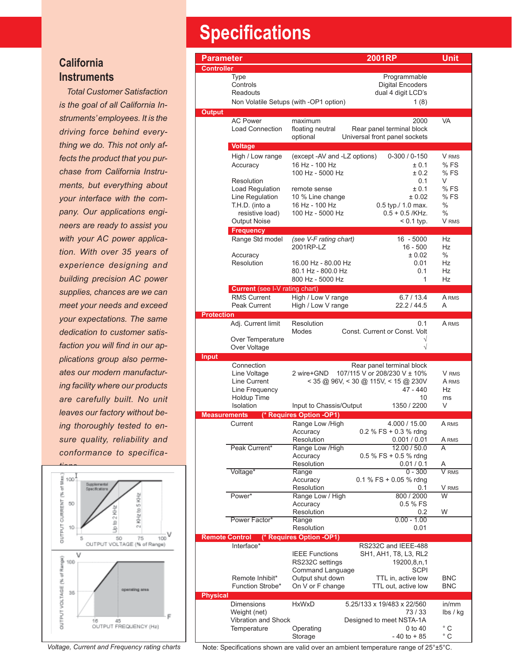### **California Instruments**

*Total Customer Satisfaction is the goal of all California Instruments' employees. It is the driving force behind everything we do. This not only affects the product that you purchase from California Instruments, but everything about your interface with the company. Our applications engineers are ready to assist you with your AC power application. With over 35 years of experience designing and building precision AC power supplies, chances are we can meet your needs and exceed your expectations. The same dedication to customer satisfaction you will find in our applications group also permeates our modern manufacturing facility where our products are carefully built. No unit leaves our factory without being thoroughly tested to ensure quality, reliability and conformance to specifica-*



# **Specifications**

| Parameter                                                                                                   | <b>2001RP</b>                                                                            | <b>Unit</b>       |  |  |
|-------------------------------------------------------------------------------------------------------------|------------------------------------------------------------------------------------------|-------------------|--|--|
| <b>Controller</b><br><b>Type</b>                                                                            | Programmable                                                                             |                   |  |  |
| Controls                                                                                                    | <b>Digital Encoders</b>                                                                  |                   |  |  |
| Readouts                                                                                                    | dual 4 digit LCD's                                                                       |                   |  |  |
| Non Volatile Setups (with -OP1 option)                                                                      | 1(8)                                                                                     |                   |  |  |
| <b>Output</b><br><b>AC Power</b>                                                                            | maximum<br>2000                                                                          | VA                |  |  |
| <b>Load Connection</b>                                                                                      | floating neutral<br>Rear panel terminal block                                            |                   |  |  |
|                                                                                                             | Universal front panel sockets<br>optional                                                |                   |  |  |
| <b>Voltage</b><br>High / Low range                                                                          | (except -AV and -LZ options)<br>$0-300/0-150$                                            | V RMS             |  |  |
| Accuracy                                                                                                    | 16 Hz - 100 Hz<br>± 0.1                                                                  | %FS               |  |  |
|                                                                                                             | 100 Hz - 5000 Hz<br>± 0.2                                                                | $%$ FS            |  |  |
| Resolution<br><b>Load Regulation</b>                                                                        | 0.1<br>± 0.1<br>remote sense                                                             | V<br>$%$ FS       |  |  |
| Line Regulation                                                                                             | 10 % Line change<br>± 0.02                                                               | $%$ FS            |  |  |
| T.H.D. (into a<br>resistive load)                                                                           | 16 Hz - 100 Hz<br>0.5 typ./ 1.0 max.<br>$0.5 + 0.5$ /KHz.<br>100 Hz - 5000 Hz            | $\%$<br>$\%$      |  |  |
| Output Noise                                                                                                | $< 0.1$ typ.                                                                             | V RMS             |  |  |
| Frequency                                                                                                   |                                                                                          |                   |  |  |
| Range Std model                                                                                             | $16 - 5000$<br>(see V-F rating chart)<br>2001RP-LZ<br>$16 - 500$                         | Hz<br><b>Hz</b>   |  |  |
| Accuracy                                                                                                    | ± 0.02                                                                                   | $\%$              |  |  |
| Resolution                                                                                                  | 16.00 Hz - 80.00 Hz<br>0.01                                                              | Hz                |  |  |
|                                                                                                             | 0.1<br>80.1 Hz - 800.0 Hz<br>800 Hz - 5000 Hz<br>1                                       | <b>Hz</b><br>Hz   |  |  |
| <b>Current</b> (see I-V rating chart)                                                                       |                                                                                          |                   |  |  |
| <b>RMS Current</b>                                                                                          | High / Low V range<br>6.7/13.4                                                           | A RMS             |  |  |
| <b>Peak Current</b>                                                                                         | High / Low V range<br>22.2 / 44.5                                                        | A                 |  |  |
| <b>Protection</b><br>Adj. Current limit                                                                     | Resolution<br>0.1                                                                        | A RMS             |  |  |
|                                                                                                             | <b>Modes</b><br>Const. Current or Const. Volt                                            |                   |  |  |
| Over Temperature<br>Over Voltage                                                                            | V<br>$\sqrt{}$                                                                           |                   |  |  |
| <b>Input</b>                                                                                                |                                                                                          |                   |  |  |
| Connection                                                                                                  | Rear panel terminal block                                                                |                   |  |  |
| Line Voltage<br>Line Current                                                                                | 107/115 V or 208/230 V ± 10%<br>2 wire+GND<br>$<$ 35 @ 96V, $<$ 30 @ 115V, $<$ 15 @ 230V | V RMS<br>A RMS    |  |  |
| Line Frequency                                                                                              | 47 - 440                                                                                 | Hz                |  |  |
| Holdup Time                                                                                                 | 10                                                                                       | ms                |  |  |
| Isolation<br>1350 / 2200<br>V<br>Input to Chassis/Output<br>(* Requires Option -OP1)<br><b>Measurements</b> |                                                                                          |                   |  |  |
| Current                                                                                                     | Range Low /High<br>4.000 / 15.00                                                         | A RMS             |  |  |
|                                                                                                             | $0.2$ % FS + 0.3 % rdng<br>Accuracy                                                      |                   |  |  |
| Peak Current*                                                                                               | Resolution<br>0.001 / 0.01<br>Range Low / High<br>12.00 / 50.0                           | A RMS<br>A        |  |  |
|                                                                                                             | Accuracy<br>$0.5\%$ FS + 0.5 % rdng                                                      |                   |  |  |
| Voltage*                                                                                                    | Resolution<br>0.01 / 0.1<br>$0 - 300$<br>Range                                           | Α<br>V RMS        |  |  |
|                                                                                                             | $0.1\%$ FS + 0.05 % rdng<br>Accuracy                                                     |                   |  |  |
| Power*                                                                                                      | Resolution<br>0.1<br>Range Low / High<br>800 / 2000                                      | V RMS<br>W        |  |  |
|                                                                                                             | 0.5 % FS<br>Accuracy                                                                     |                   |  |  |
|                                                                                                             | Resolution<br>0.2                                                                        | W                 |  |  |
| Power Factor*                                                                                               | $0.00 - 1.00$<br>Range<br>Resolution<br>0.01                                             |                   |  |  |
| (* Requires Option -OP1)<br><b>Remote Control</b>                                                           |                                                                                          |                   |  |  |
| Interface*                                                                                                  | RS232C and IEEE-488                                                                      |                   |  |  |
|                                                                                                             | <b>IEEE Functions</b><br>SH1, AH1, T8, L3, RL2<br>RS232C settings<br>19200,8,n,1         |                   |  |  |
|                                                                                                             | <b>SCPI</b><br>Command Language                                                          |                   |  |  |
| Remote Inhibit*<br>Function Strobe*                                                                         | Output shut down<br>TTL in, active low<br>On V or F change<br>TTL out, active low        | BNC<br><b>BNC</b> |  |  |
| <b>Physical</b>                                                                                             |                                                                                          |                   |  |  |
| Dimensions                                                                                                  | <b>HxWxD</b><br>5.25/133 x 19/483 x 22/560                                               | in/mm             |  |  |
| Weight (net)<br>Vibration and Shock                                                                         | 73/33<br>Designed to meet NSTA-1A                                                        | lbs / kg          |  |  |
| Temperature                                                                                                 | Operating<br>0 to 40                                                                     | $^{\circ}$ C      |  |  |
|                                                                                                             | Storage<br>$-40$ to $+85$                                                                | $^{\circ}$ C      |  |  |

*Voltage, Current and Frequency rating charts* Note: Specifications shown are valid over an ambient temperature range of 25°±5°C.